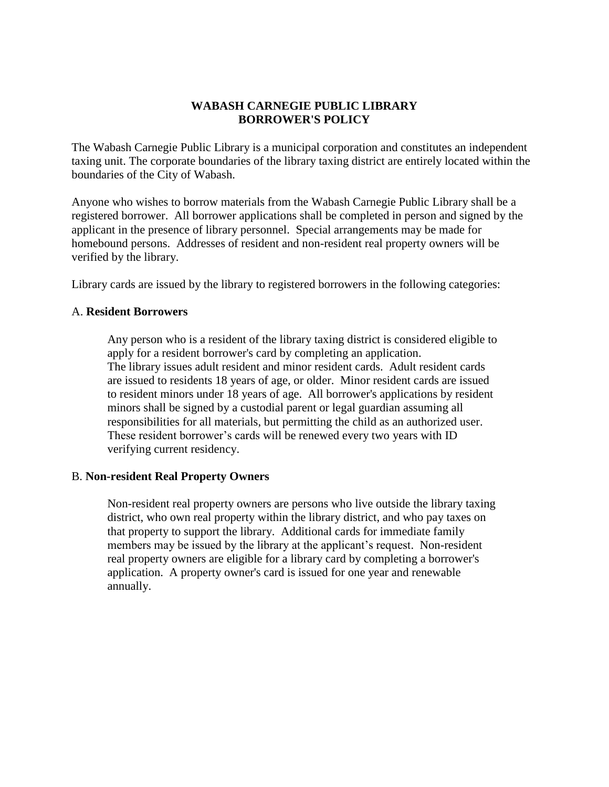# **WABASH CARNEGIE PUBLIC LIBRARY BORROWER'S POLICY**

The Wabash Carnegie Public Library is a municipal corporation and constitutes an independent taxing unit. The corporate boundaries of the library taxing district are entirely located within the boundaries of the City of Wabash.

Anyone who wishes to borrow materials from the Wabash Carnegie Public Library shall be a registered borrower. All borrower applications shall be completed in person and signed by the applicant in the presence of library personnel. Special arrangements may be made for homebound persons. Addresses of resident and non-resident real property owners will be verified by the library.

Library cards are issued by the library to registered borrowers in the following categories:

## A. **Resident Borrowers**

Any person who is a resident of the library taxing district is considered eligible to apply for a resident borrower's card by completing an application. The library issues adult resident and minor resident cards. Adult resident cards are issued to residents 18 years of age, or older. Minor resident cards are issued to resident minors under 18 years of age. All borrower's applications by resident minors shall be signed by a custodial parent or legal guardian assuming all responsibilities for all materials, but permitting the child as an authorized user. These resident borrower's cards will be renewed every two years with ID verifying current residency.

### B. **Non-resident Real Property Owners**

Non-resident real property owners are persons who live outside the library taxing district, who own real property within the library district, and who pay taxes on that property to support the library. Additional cards for immediate family members may be issued by the library at the applicant's request. Non-resident real property owners are eligible for a library card by completing a borrower's application. A property owner's card is issued for one year and renewable annually.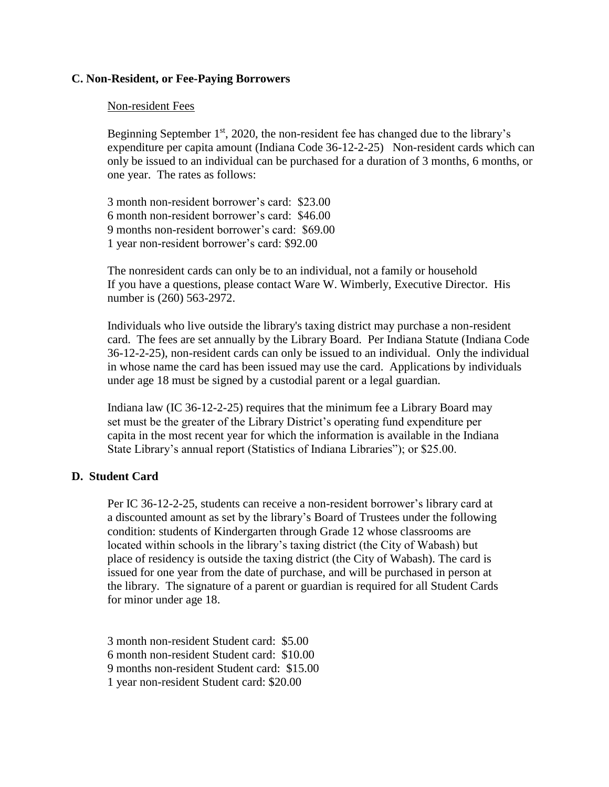## **C. Non-Resident, or Fee-Paying Borrowers**

## Non-resident Fees

Beginning September  $1<sup>st</sup>$ , 2020, the non-resident fee has changed due to the library's expenditure per capita amount (Indiana Code 36-12-2-25) Non-resident cards which can only be issued to an individual can be purchased for a duration of 3 months, 6 months, or one year. The rates as follows:

3 month non-resident borrower's card: \$23.00 6 month non-resident borrower's card: \$46.00 9 months non-resident borrower's card: \$69.00 1 year non-resident borrower's card: \$92.00

The nonresident cards can only be to an individual, not a family or household If you have a questions, please contact Ware W. Wimberly, Executive Director. His number is (260) 563-2972.

Individuals who live outside the library's taxing district may purchase a non-resident card. The fees are set annually by the Library Board. Per Indiana Statute (Indiana Code 36-12-2-25), non-resident cards can only be issued to an individual. Only the individual in whose name the card has been issued may use the card. Applications by individuals under age 18 must be signed by a custodial parent or a legal guardian.

Indiana law (IC 36-12-2-25) requires that the minimum fee a Library Board may set must be the greater of the Library District's operating fund expenditure per capita in the most recent year for which the information is available in the Indiana State Library's annual report (Statistics of Indiana Libraries"); or \$25.00.

## **D. Student Card**

Per IC 36-12-2-25, students can receive a non-resident borrower's library card at a discounted amount as set by the library's Board of Trustees under the following condition: students of Kindergarten through Grade 12 whose classrooms are located within schools in the library's taxing district (the City of Wabash) but place of residency is outside the taxing district (the City of Wabash). The card is issued for one year from the date of purchase, and will be purchased in person at the library. The signature of a parent or guardian is required for all Student Cards for minor under age 18.

3 month non-resident Student card: \$5.00

6 month non-resident Student card: \$10.00

9 months non-resident Student card: \$15.00

1 year non-resident Student card: \$20.00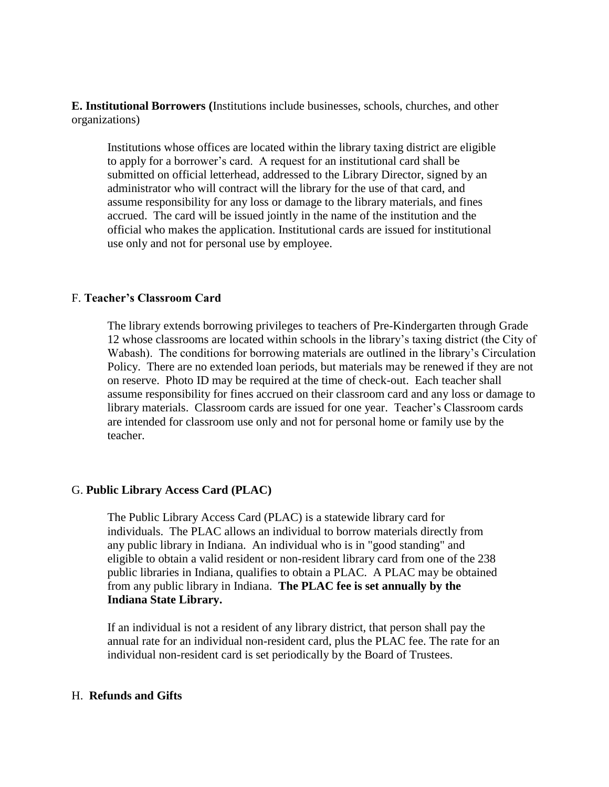**E. Institutional Borrowers (**Institutions include businesses, schools, churches, and other organizations)

Institutions whose offices are located within the library taxing district are eligible to apply for a borrower's card. A request for an institutional card shall be submitted on official letterhead, addressed to the Library Director, signed by an administrator who will contract will the library for the use of that card, and assume responsibility for any loss or damage to the library materials, and fines accrued. The card will be issued jointly in the name of the institution and the official who makes the application. Institutional cards are issued for institutional use only and not for personal use by employee.

### F. **Teacher's Classroom Card**

The library extends borrowing privileges to teachers of Pre-Kindergarten through Grade 12 whose classrooms are located within schools in the library's taxing district (the City of Wabash). The conditions for borrowing materials are outlined in the library's Circulation Policy. There are no extended loan periods, but materials may be renewed if they are not on reserve. Photo ID may be required at the time of check-out. Each teacher shall assume responsibility for fines accrued on their classroom card and any loss or damage to library materials. Classroom cards are issued for one year. Teacher's Classroom cards are intended for classroom use only and not for personal home or family use by the teacher.

### G. **Public Library Access Card (PLAC)**

The Public Library Access Card (PLAC) is a statewide library card for individuals. The PLAC allows an individual to borrow materials directly from any public library in Indiana. An individual who is in "good standing" and eligible to obtain a valid resident or non-resident library card from one of the 238 public libraries in Indiana, qualifies to obtain a PLAC. A PLAC may be obtained from any public library in Indiana. **The PLAC fee is set annually by the Indiana State Library.**

If an individual is not a resident of any library district, that person shall pay the annual rate for an individual non-resident card, plus the PLAC fee. The rate for an individual non-resident card is set periodically by the Board of Trustees.

### H. **Refunds and Gifts**